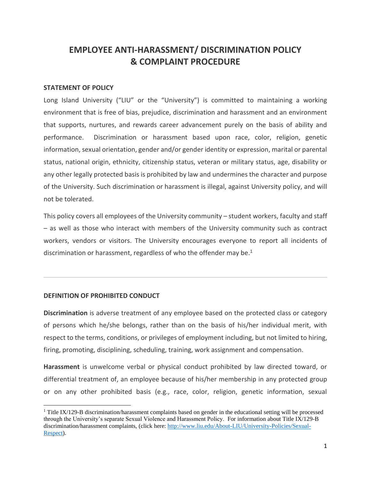# **EMPLOYEE ANTI-HARASSMENT/ DISCRIMINATION POLICY & COMPLAINT PROCEDURE**

#### **STATEMENT OF POLICY**

Long Island University ("LIU" or the "University") is committed to maintaining a working environment that is free of bias, prejudice, discrimination and harassment and an environment that supports, nurtures, and rewards career advancement purely on the basis of ability and performance. Discrimination or harassment based upon race, color, religion, genetic information, sexual orientation, gender and/or gender identity or expression, marital or parental status, national origin, ethnicity, citizenship status, veteran or military status, age, disability or any other legally protected basis is prohibited by law and undermines the character and purpose of the University. Such discrimination or harassment is illegal, against University policy, and will not be tolerated.

This policy covers all employees of the University community – student workers, faculty and staff – as well as those who interact with members of the University community such as contract workers, vendors or visitors. The University encourages everyone to report all incidents of discrimination or harassment, regardless of who the offender may be.<sup>1</sup>

#### **DEFINITION OF PROHIBITED CONDUCT**

**Discrimination** is adverse treatment of any employee based on the protected class or category of persons which he/she belongs, rather than on the basis of his/her individual merit, with respect to the terms, conditions, or privileges of employment including, but not limited to hiring, firing, promoting, disciplining, scheduling, training, work assignment and compensation.

**Harassment** is unwelcome verbal or physical conduct prohibited by law directed toward, or differential treatment of, an employee because of his/her membership in any protected group or on any other prohibited basis (e.g., race, color, religion, genetic information, sexual

<sup>&</sup>lt;sup>1</sup> Title IX/129-B discrimination/harassment complaints based on gender in the educational setting will be processed through the University's separate Sexual Violence and Harassment Policy. For information about Title IX/129-B discrimination/harassment complaints, (click here[: http://www.liu.edu/About-LIU/University-Policies/Sexual-](http://www.liu.edu/About-LIU/University-Policies/Sexual-Respect)[Respect\)](http://www.liu.edu/About-LIU/University-Policies/Sexual-Respect).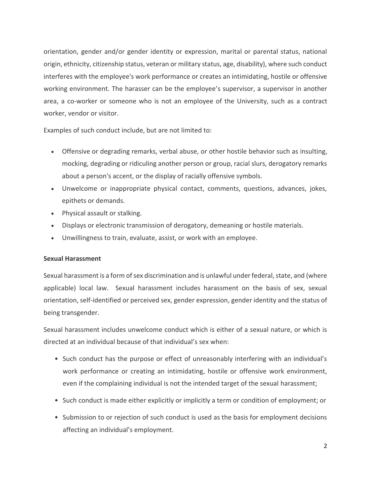orientation, gender and/or gender identity or expression, marital or parental status, national origin, ethnicity, citizenship status, veteran or military status, age, disability), where such conduct interferes with the employee's work performance or creates an intimidating, hostile or offensive working environment. The harasser can be the employee's supervisor, a supervisor in another area, a co-worker or someone who is not an employee of the University, such as a contract worker, vendor or visitor.

Examples of such conduct include, but are not limited to:

- Offensive or degrading remarks, verbal abuse, or other hostile behavior such as insulting, mocking, degrading or ridiculing another person or group, racial slurs, derogatory remarks about a person's accent, or the display of racially offensive symbols.
- Unwelcome or inappropriate physical contact, comments, questions, advances, jokes, epithets or demands.
- Physical assault or stalking.
- Displays or electronic transmission of derogatory, demeaning or hostile materials.
- Unwillingness to train, evaluate, assist, or work with an employee.

# **Sexual Harassment**

Sexual harassment is a form of sex discrimination and is unlawful under federal, state, and (where applicable) local law. Sexual harassment includes harassment on the basis of sex, sexual orientation, self-identified or perceived sex, gender expression, gender identity and the status of being transgender.

Sexual harassment includes unwelcome conduct which is either of a sexual nature, or which is directed at an individual because of that individual's sex when:

- Such conduct has the purpose or effect of unreasonably interfering with an individual's work performance or creating an intimidating, hostile or offensive work environment, even if the complaining individual is not the intended target of the sexual harassment;
- Such conduct is made either explicitly or implicitly a term or condition of employment; or
- Submission to or rejection of such conduct is used as the basis for employment decisions affecting an individual's employment.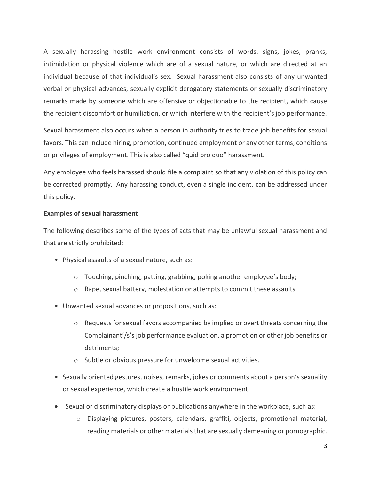A sexually harassing hostile work environment consists of words, signs, jokes, pranks, intimidation or physical violence which are of a sexual nature, or which are directed at an individual because of that individual's sex. Sexual harassment also consists of any unwanted verbal or physical advances, sexually explicit derogatory statements or sexually discriminatory remarks made by someone which are offensive or objectionable to the recipient, which cause the recipient discomfort or humiliation, or which interfere with the recipient's job performance.

Sexual harassment also occurs when a person in authority tries to trade job benefits for sexual favors. This can include hiring, promotion, continued employment or any other terms, conditions or privileges of employment. This is also called "quid pro quo" harassment.

Any employee who feels harassed should file a complaint so that any violation of this policy can be corrected promptly. Any harassing conduct, even a single incident, can be addressed under this policy.

# **Examples of sexual harassment**

The following describes some of the types of acts that may be unlawful sexual harassment and that are strictly prohibited:

- Physical assaults of a sexual nature, such as:
	- o Touching, pinching, patting, grabbing, poking another employee's body;
	- o Rape, sexual battery, molestation or attempts to commit these assaults.
- Unwanted sexual advances or propositions, such as:
	- $\circ$  Requests for sexual favors accompanied by implied or overt threats concerning the Complainant'/s's job performance evaluation, a promotion or other job benefits or detriments;
	- o Subtle or obvious pressure for unwelcome sexual activities.
- Sexually oriented gestures, noises, remarks, jokes or comments about a person's sexuality or sexual experience, which create a hostile work environment.
- Sexual or discriminatory displays or publications anywhere in the workplace, such as:
	- o Displaying pictures, posters, calendars, graffiti, objects, promotional material, reading materials or other materials that are sexually demeaning or pornographic.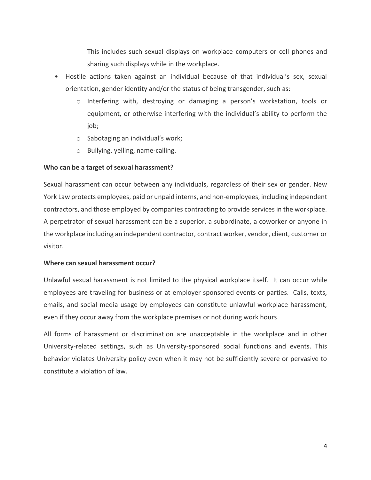This includes such sexual displays on workplace computers or cell phones and sharing such displays while in the workplace.

- Hostile actions taken against an individual because of that individual's sex, sexual orientation, gender identity and/or the status of being transgender, such as:
	- o Interfering with, destroying or damaging a person's workstation, tools or equipment, or otherwise interfering with the individual's ability to perform the job;
	- o Sabotaging an individual's work;
	- o Bullying, yelling, name-calling.

# **Who can be a target of sexual harassment?**

Sexual harassment can occur between any individuals, regardless of their sex or gender. New York Law protects employees, paid or unpaid interns, and non-employees, including independent contractors, and those employed by companies contracting to provide services in the workplace. A perpetrator of sexual harassment can be a superior, a subordinate, a coworker or anyone in the workplace including an independent contractor, contract worker, vendor, client, customer or visitor.

#### **Where can sexual harassment occur?**

Unlawful sexual harassment is not limited to the physical workplace itself. It can occur while employees are traveling for business or at employer sponsored events or parties. Calls, texts, emails, and social media usage by employees can constitute unlawful workplace harassment, even if they occur away from the workplace premises or not during work hours.

All forms of harassment or discrimination are unacceptable in the workplace and in other University‐related settings, such as University‐sponsored social functions and events. This behavior violates University policy even when it may not be sufficiently severe or pervasive to constitute a violation of law.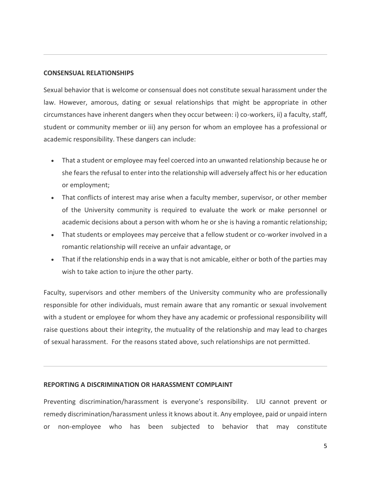#### **CONSENSUAL RELATIONSHIPS**

Sexual behavior that is welcome or consensual does not constitute sexual harassment under the law. However, amorous, dating or sexual relationships that might be appropriate in other circumstances have inherent dangers when they occur between: i) co-workers, ii) a faculty, staff, student or community member or iii) any person for whom an employee has a professional or academic responsibility. These dangers can include:

- That a student or employee may feel coerced into an unwanted relationship because he or she fears the refusal to enter into the relationship will adversely affect his or her education or employment;
- That conflicts of interest may arise when a faculty member, supervisor, or other member of the University community is required to evaluate the work or make personnel or academic decisions about a person with whom he or she is having a romantic relationship;
- That students or employees may perceive that a fellow student or co-worker involved in a romantic relationship will receive an unfair advantage, or
- That if the relationship ends in a way that is not amicable, either or both of the parties may wish to take action to injure the other party.

Faculty, supervisors and other members of the University community who are professionally responsible for other individuals, must remain aware that any romantic or sexual involvement with a student or employee for whom they have any academic or professional responsibility will raise questions about their integrity, the mutuality of the relationship and may lead to charges of sexual harassment. For the reasons stated above, such relationships are not permitted.

#### **REPORTING A DISCRIMINATION OR HARASSMENT COMPLAINT**

Preventing discrimination/harassment is everyone's responsibility. LIU cannot prevent or remedy discrimination/harassment unless it knows about it. Any employee, paid or unpaid intern or non-employee who has been subjected to behavior that may constitute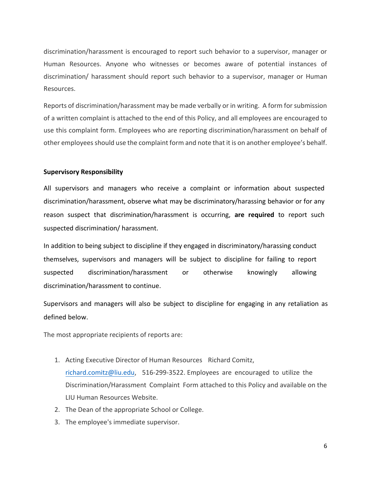discrimination/harassment is encouraged to report such behavior to a supervisor, manager or Human Resources. Anyone who witnesses or becomes aware of potential instances of discrimination/ harassment should report such behavior to a supervisor, manager or Human Resources.

Reports of discrimination/harassment may be made verbally or in writing. A form for submission of a written complaint is attached to the end of this Policy, and all employees are encouraged to use this complaint form. Employees who are reporting discrimination/harassment on behalf of other employees should use the complaint form and note that it is on another employee's behalf.

# **Supervisory Responsibility**

All supervisors and managers who receive a complaint or information about suspected discrimination/harassment, observe what may be discriminatory/harassing behavior or for any reason suspect that discrimination/harassment is occurring, **are required** to report such suspected discrimination/ harassment.

In addition to being subject to discipline if they engaged in discriminatory/harassing conduct themselves, supervisors and managers will be subject to discipline for failing to report suspected discrimination/harassment or otherwise knowingly allowing discrimination/harassment to continue.

Supervisors and managers will also be subject to discipline for engaging in any retaliation as defined below.

The most appropriate recipients of reports are:

- 1. Acting Executive Director of Human Resources Ric[hard Comitz](mailto:lisa.araujo@liu.edu), richard.comitz@liu.edu, 516-299-3522. Employees are encouraged to utilize the Discrimination/Harassment Complaint Form attached to this Policy and available on the LIU Human Resources Website.
- 2. The Dean of the appropriate School or College.
- 3. The employee's immediate supervisor.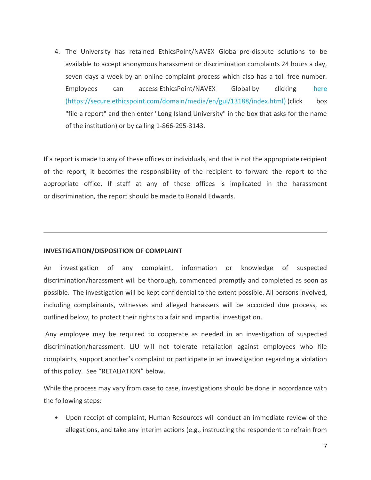4. The University has retained EthicsPoint/NAVEX Global pre-dispute solutions to be available to accept anonymous harassment or discrimination complaints 24 hours a day, seven days a week by an online complaint process which also has a toll free number. Employees can access EthicsPoint/NAVEX Global by clicking [here](https://secure.ethicspoint.com/domain/media/en/gui/13188/index.html) (https://secure.ethicspoint.com/domain/media/en/gui/13188/index.html) (click box "file a report" and then enter "Long Island University" in the box that asks for the name of the institution) or by calling 1-866-295-3143.

If a report is made to any of these offices or individuals, and that is not the appropriate recipient of the report, it becomes the responsibility of the recipient to forward the report to the appropriate office. If staff at any of these offices is implicated in the harassment or discrimination, the report should be made to Ronald Edwards.

#### **INVESTIGATION/DISPOSITION OF COMPLAINT**

An investigation of any complaint, information or knowledge of suspected discrimination/harassment will be thorough, commenced promptly and completed as soon as possible. The investigation will be kept confidential to the extent possible. All persons involved, including complainants, witnesses and alleged harassers will be accorded due process, as outlined below, to protect their rights to a fair and impartial investigation.

Any employee may be required to cooperate as needed in an investigation of suspected discrimination/harassment. LIU will not tolerate retaliation against employees who file complaints, support another's complaint or participate in an investigation regarding a violation of this policy. See "RETALIATION" below.

While the process may vary from case to case, investigations should be done in accordance with the following steps:

• Upon receipt of complaint, Human Resources will conduct an immediate review of the allegations, and take any interim actions (e.g., instructing the respondent to refrain from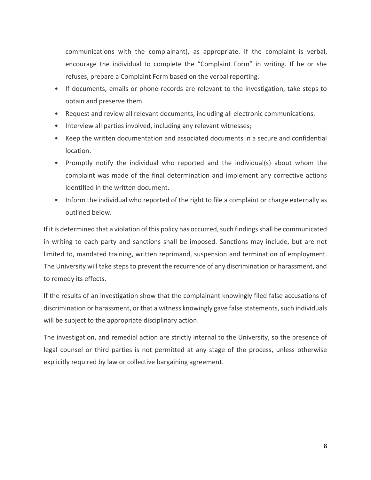communications with the complainant), as appropriate. If the complaint is verbal, encourage the individual to complete the "Complaint Form" in writing. If he or she refuses, prepare a Complaint Form based on the verbal reporting.

- If documents, emails or phone records are relevant to the investigation, take steps to obtain and preserve them.
- Request and review all relevant documents, including all electronic communications.
- Interview all parties involved, including any relevant witnesses;
- Keep the written documentation and associated documents in a secure and confidential location.
- Promptly notify the individual who reported and the individual(s) about whom the complaint was made of the final determination and implement any corrective actions identified in the written document.
- Inform the individual who reported of the right to file a complaint or charge externally as outlined below.

If it is determined that a violation of this policy has occurred, such findings shall be communicated in writing to each party and sanctions shall be imposed. Sanctions may include, but are not limited to, mandated training, written reprimand, suspension and termination of employment. The University will take steps to prevent the recurrence of any discrimination or harassment, and to remedy its effects.

If the results of an investigation show that the complainant knowingly filed false accusations of discrimination or harassment, or that a witness knowingly gave false statements, such individuals will be subject to the appropriate disciplinary action.

The investigation, and remedial action are strictly internal to the University, so the presence of legal counsel or third parties is not permitted at any stage of the process, unless otherwise explicitly required by law or collective bargaining agreement.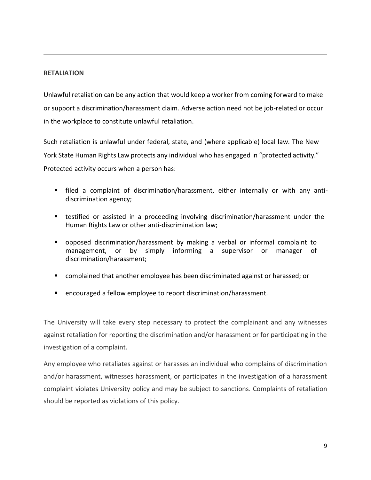## **RETALIATION**

Unlawful retaliation can be any action that would keep a worker from coming forward to make or support a discrimination/harassment claim. Adverse action need not be job-related or occur in the workplace to constitute unlawful retaliation.

Such retaliation is unlawful under federal, state, and (where applicable) local law. The New York State Human Rights Law protects any individual who has engaged in "protected activity." Protected activity occurs when a person has:

- filed a complaint of discrimination/harassment, either internally or with any antidiscrimination agency;
- testified or assisted in a proceeding involving discrimination/harassment under the Human Rights Law or other anti-discrimination law;
- opposed discrimination/harassment by making a verbal or informal complaint to management, or by simply informing a supervisor or manager of discrimination/harassment;
- complained that another employee has been discriminated against or harassed; or
- **E** encouraged a fellow employee to report discrimination/harassment.

The University will take every step necessary to protect the complainant and any witnesses against retaliation for reporting the discrimination and/or harassment or for participating in the investigation of a complaint.

Any employee who retaliates against or harasses an individual who complains of discrimination and/or harassment, witnesses harassment, or participates in the investigation of a harassment complaint violates University policy and may be subject to sanctions. Complaints of retaliation should be reported as violations of this policy.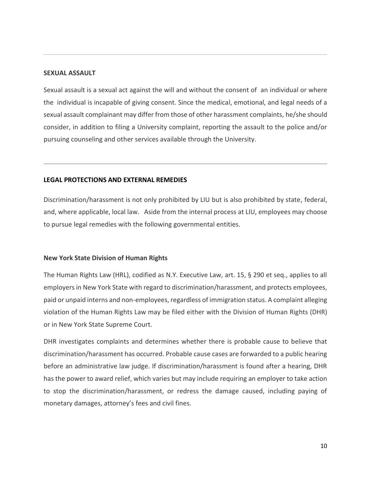#### **SEXUAL ASSAULT**

Sexual assault is a sexual act against the will and without the consent of an individual or where the individual is incapable of giving consent. Since the medical, emotional, and legal needs of a sexual assault complainant may differ from those of other harassment complaints, he/she should consider, in addition to filing a University complaint, reporting the assault to the police and/or pursuing counseling and other services available through the University.

#### **LEGAL PROTECTIONS AND EXTERNAL REMEDIES**

Discrimination/harassment is not only prohibited by LIU but is also prohibited by state, federal, and, where applicable, local law. Aside from the internal process at LIU, employees may choose to pursue legal remedies with the following governmental entities.

#### **New York State Division of Human Rights**

The Human Rights Law (HRL), codified as N.Y. Executive Law, art. 15, § 290 et seq., applies to all employers in New York State with regard to discrimination/harassment, and protects employees, paid or unpaid interns and non-employees, regardless of immigration status. A complaint alleging violation of the Human Rights Law may be filed either with the Division of Human Rights (DHR) or in New York State Supreme Court.

DHR investigates complaints and determines whether there is probable cause to believe that discrimination/harassment has occurred. Probable cause cases are forwarded to a public hearing before an administrative law judge. If discrimination/harassment is found after a hearing, DHR has the power to award relief, which varies but may include requiring an employer to take action to stop the discrimination/harassment, or redress the damage caused, including paying of monetary damages, attorney's fees and civil fines.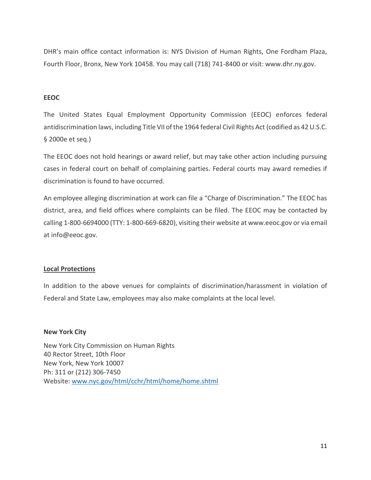DHR's main office contact information is: NYS Division of Human Rights, One Fordham Plaza, Fourth Floor, Bronx, New York 10458. You may call (718) 741-8400 or visit: www.dhr.ny.gov.

# **EEOC**

The United States Equal Employment Opportunity Commission (EEOC) enforces federal antidiscrimination laws, including Title VII of the 1964 federal Civil Rights Act (codified as 42 U.S.C. § 2000e et seq.)

The EEOC does not hold hearings or award relief, but may take other action including pursuing cases in federal court on behalf of complaining parties. Federal courts may award remedies if discrimination is found to have occurred.

An employee alleging discrimination at work can file a "Charge of Discrimination." The EEOC has district, area, and field offices where complaints can be filed. The EEOC may be contacted by calling 1-800-6694000 (TTY: 1-800-669-6820), visiting their website at www.eeoc.gov or via email at info@eeoc.gov.

# **Local Protections**

In addition to the above venues for complaints of discrimination/harassment in violation of Federal and State Law, employees may also make complaints at the local level.

#### **New York City**

New York City Commission on Human Rights 40 Rector Street, 10th Floor New York, New York 10007 Ph: 311 or (212) 306-7450 Website: [www.nyc.gov/html/cchr/html/home/home.shtml](http://www.nyc.gov/html/cchr/html/home/home.shtml)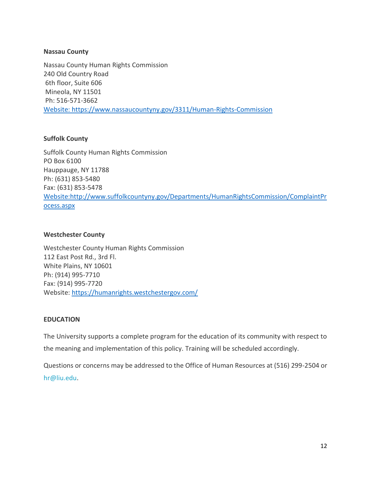# **Nassau County**

Nassau County Human Rights Commission 240 Old Country Road 6th floor, Suite 606 Mineola, NY 11501 Ph: 516-571-3662 [Website: https://www.nassaucountyny.gov/3311/Human-Rights-Commission](website:%20www.nassaucountyny.gov/3311/Human-Rights-Commission)

# **Suffolk County**

Suffolk County Human Rights Commission PO Box 6100 Hauppauge, NY 11788 Ph: (631) 853-5480 Fax: (631) 853-5478 [Website:http://www.suffolkcountyny.gov/Departments/HumanRightsCommission/ComplaintPr](http://www.suffolkcountyny.gov/Departments/HumanRightsCommission/ComplaintProcess.aspx) [ocess.aspx](http://www.suffolkcountyny.gov/Departments/HumanRightsCommission/ComplaintProcess.aspx)

# **Westchester County**

Westchester County Human Rights Commission 112 East Post Rd., 3rd Fl. White Plains, NY 10601 Ph: (914) 995-7710 Fax: (914) 995-7720 Website: <https://humanrights.westchestergov.com/>

# **EDUCATION**

The University supports a complete program for the education of its community with respect to the meaning and implementation of this policy. Training will be scheduled accordingly.

Questions or concerns may be addressed to the Office of Human Resources at (516) 299-2504 or [hr@liu.edu.](mailto:hr@liu.edu)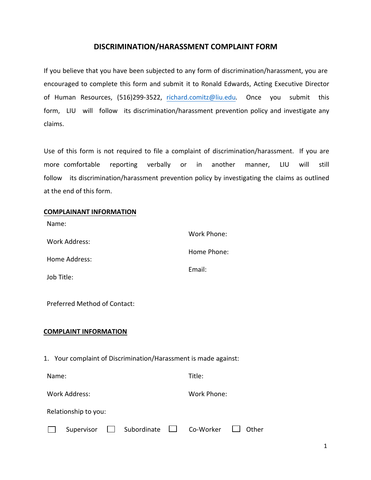# **DISCRIMINATION/HARASSMENT COMPLAINT FORM**

If you believe that you have been subjected to any form of discrimination/harassment, you are encouraged to complete this form and submit it to Ronald Edwards, Acting Executive Director of Human Resources[, \(516\)299-](mailto:lisa.araujo@liu.edu)3522, richard.comitz@liu.edu*.* Once you submit this form, LIU will follow its discrimination/harassment prevention policy and investigate any claims.

Use of this form is not required to file a complaint of discrimination/harassment. If you are more comfortable reporting verbally or in another manner, LIU will still follow its discrimination/harassment prevention policy by investigating the claims as outlined at the end of this form.

## **COMPLAINANT INFORMATION**

Name:

| Work Address: | Work Phone: |
|---------------|-------------|
| Home Address: | Home Phone: |
|               | Email:      |
| Job Title:    |             |

Preferred Method of Contact:

# **COMPLAINT INFORMATION**

1. Your complaint of Discrimination/Harassment is made against:

| Name:         | Title:      |
|---------------|-------------|
| Work Address: | Work Phone: |

| Relationship to you: |  |
|----------------------|--|
|----------------------|--|